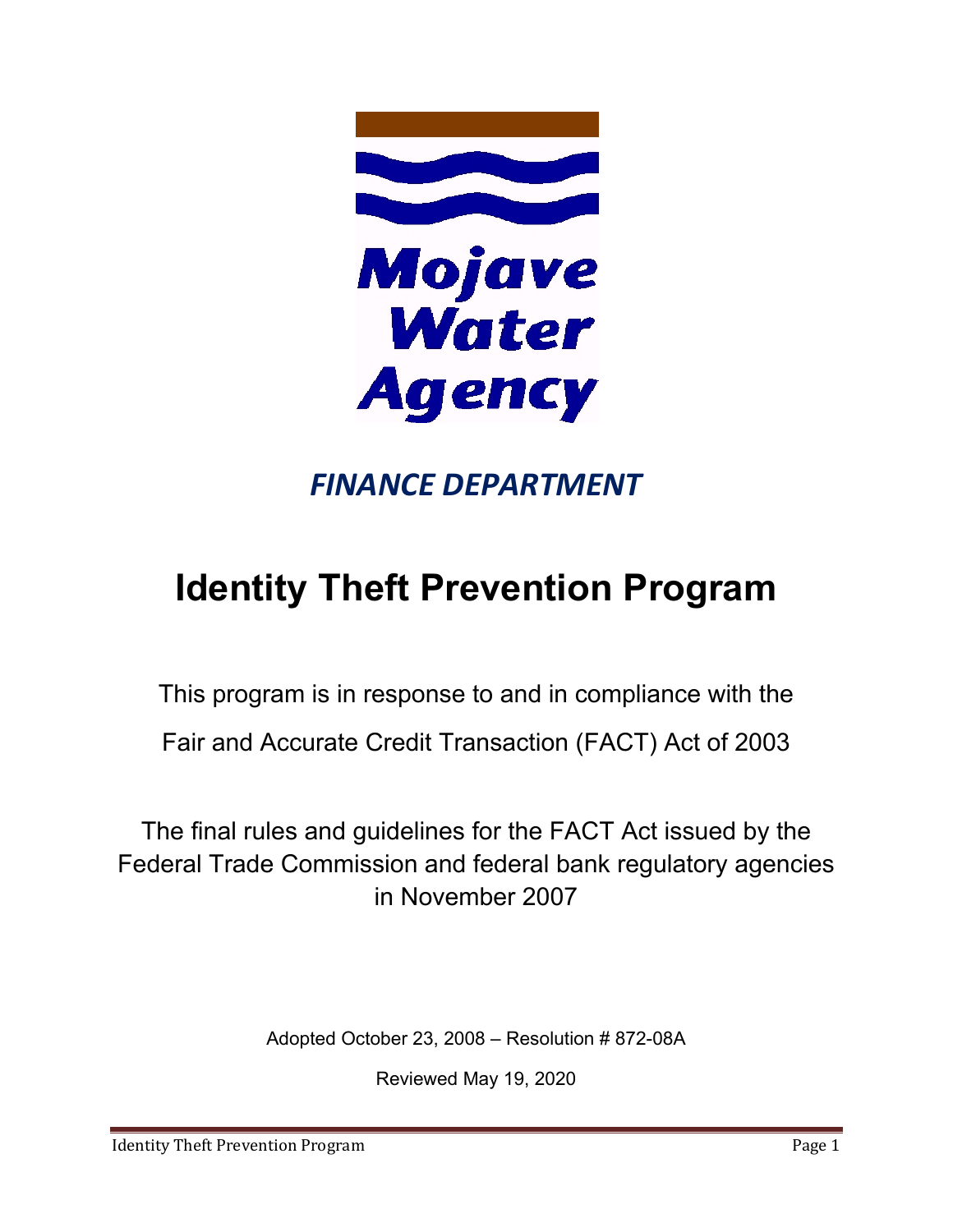

# *FINANCE DEPARTMENT*

# **Identity Theft Prevention Program**

This program is in response to and in compliance with the

Fair and Accurate Credit Transaction (FACT) Act of 2003

The final rules and guidelines for the FACT Act issued by the Federal Trade Commission and federal bank regulatory agencies in November 2007

Adopted October 23, 2008 – Resolution # 872-08A

Reviewed May 19, 2020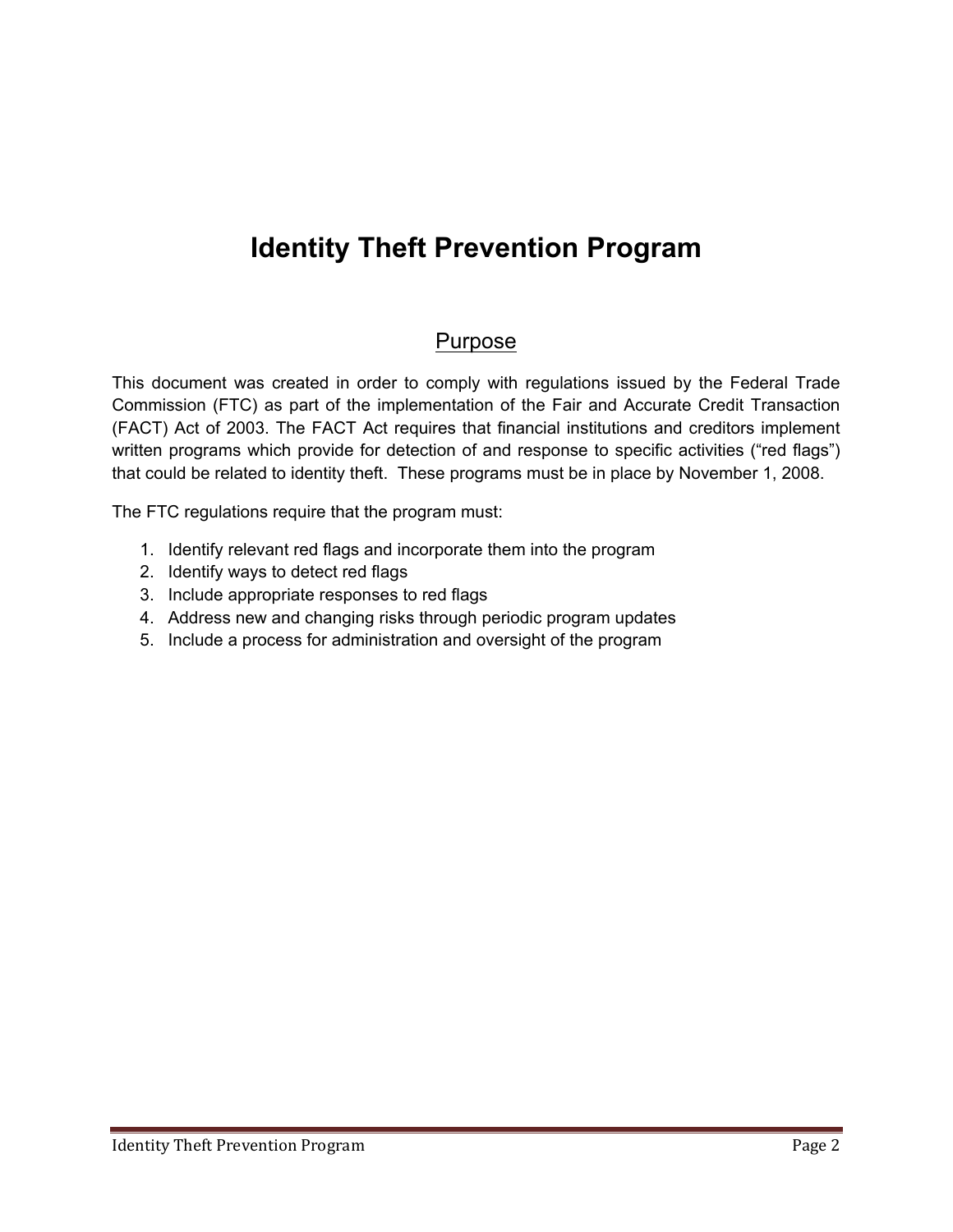# **Identity Theft Prevention Program**

### Purpose

This document was created in order to comply with regulations issued by the Federal Trade Commission (FTC) as part of the implementation of the Fair and Accurate Credit Transaction (FACT) Act of 2003. The FACT Act requires that financial institutions and creditors implement written programs which provide for detection of and response to specific activities ("red flags") that could be related to identity theft. These programs must be in place by November 1, 2008.

The FTC regulations require that the program must:

- 1. Identify relevant red flags and incorporate them into the program
- 2. Identify ways to detect red flags
- 3. Include appropriate responses to red flags
- 4. Address new and changing risks through periodic program updates
- 5. Include a process for administration and oversight of the program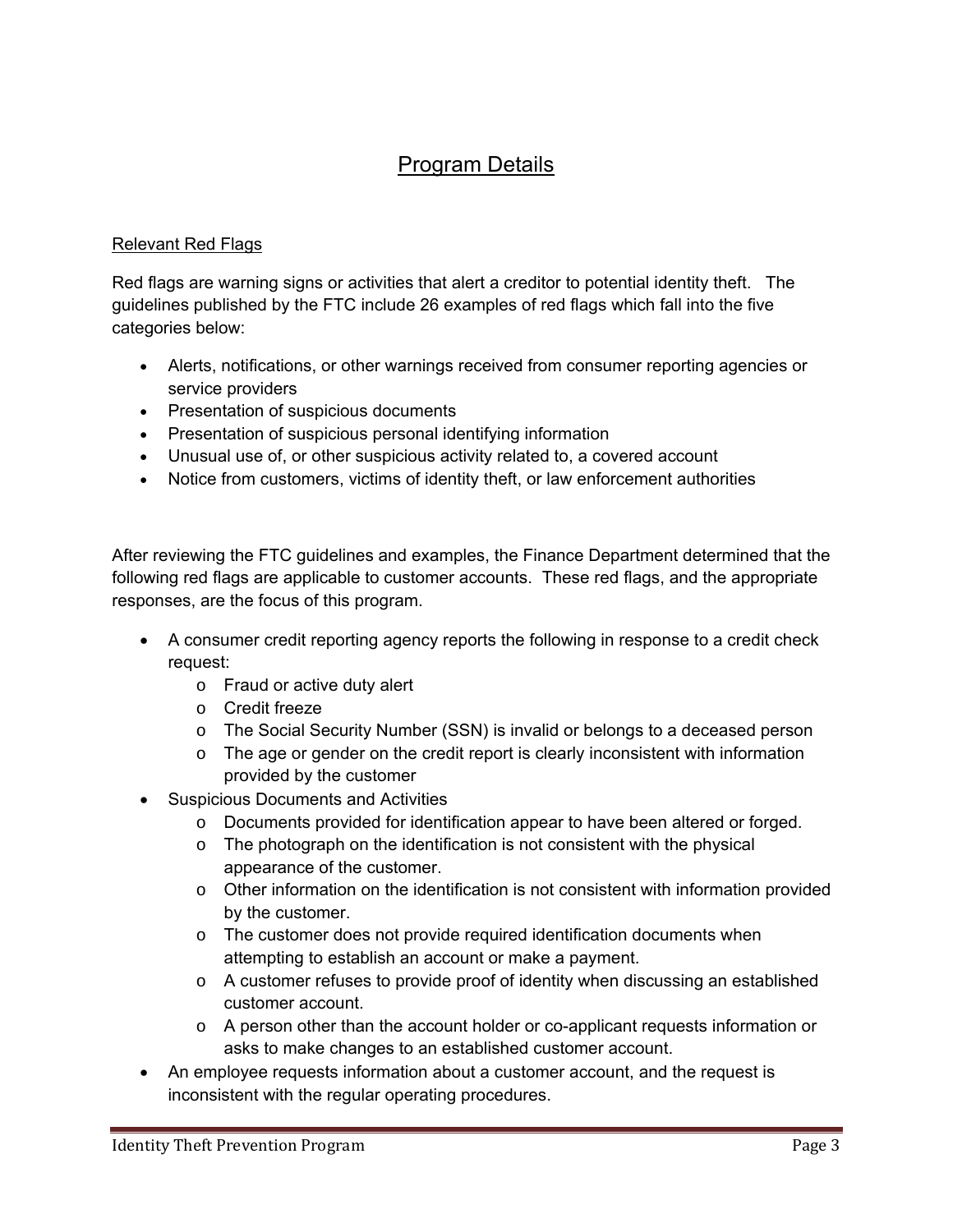## Program Details

#### Relevant Red Flags

Red flags are warning signs or activities that alert a creditor to potential identity theft. The guidelines published by the FTC include 26 examples of red flags which fall into the five categories below:

- Alerts, notifications, or other warnings received from consumer reporting agencies or service providers
- Presentation of suspicious documents
- Presentation of suspicious personal identifying information
- Unusual use of, or other suspicious activity related to, a covered account
- Notice from customers, victims of identity theft, or law enforcement authorities

After reviewing the FTC guidelines and examples, the Finance Department determined that the following red flags are applicable to customer accounts. These red flags, and the appropriate responses, are the focus of this program.

- A consumer credit reporting agency reports the following in response to a credit check request:
	- o Fraud or active duty alert
	- o Credit freeze
	- o The Social Security Number (SSN) is invalid or belongs to a deceased person
	- $\circ$  The age or gender on the credit report is clearly inconsistent with information provided by the customer
- Suspicious Documents and Activities
	- o Documents provided for identification appear to have been altered or forged.
	- o The photograph on the identification is not consistent with the physical appearance of the customer.
	- o Other information on the identification is not consistent with information provided by the customer.
	- $\circ$  The customer does not provide required identification documents when attempting to establish an account or make a payment.
	- o A customer refuses to provide proof of identity when discussing an established customer account.
	- $\circ$  A person other than the account holder or co-applicant requests information or asks to make changes to an established customer account.
- An employee requests information about a customer account, and the request is inconsistent with the regular operating procedures.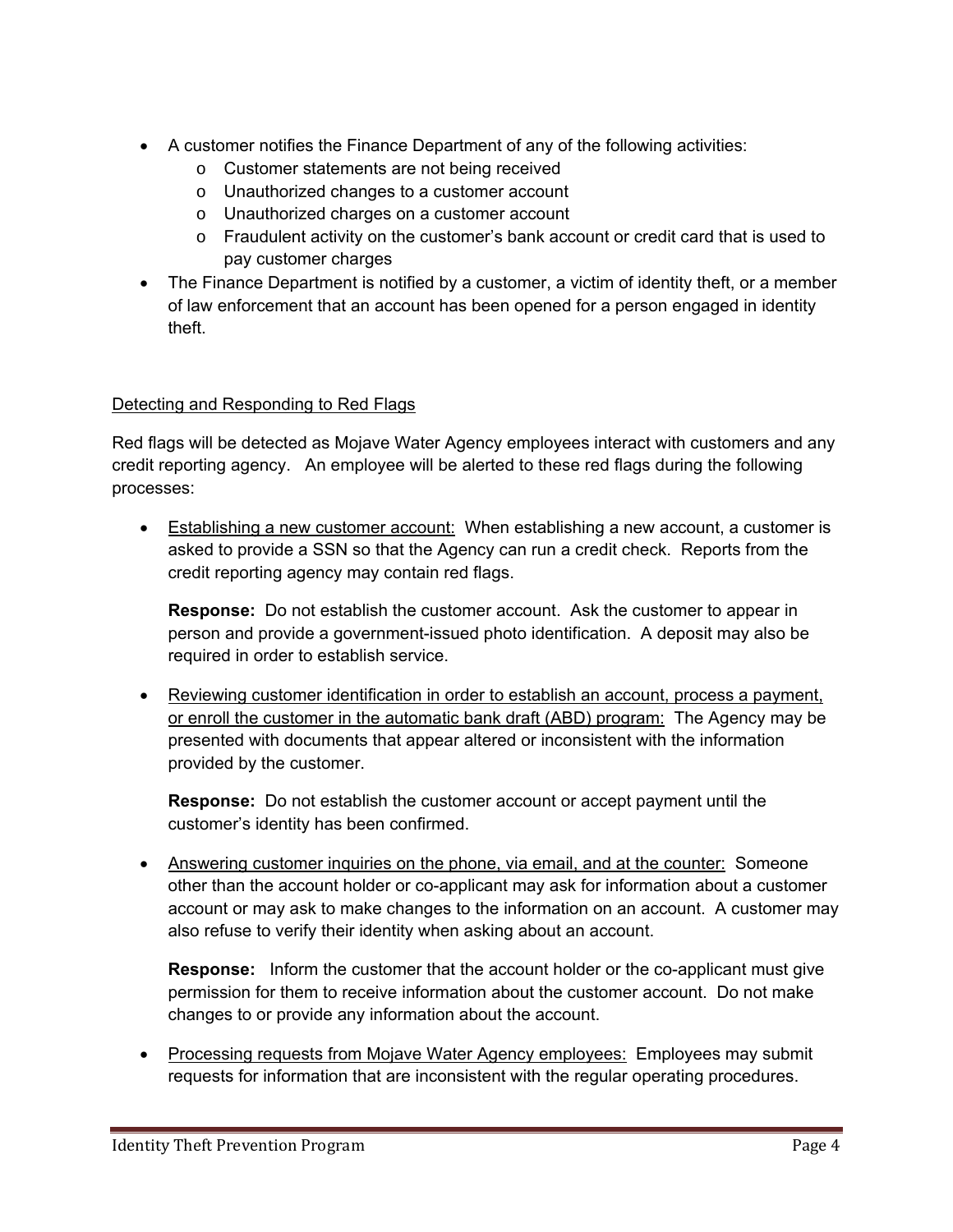- A customer notifies the Finance Department of any of the following activities:
	- o Customer statements are not being received
	- o Unauthorized changes to a customer account
	- o Unauthorized charges on a customer account
	- o Fraudulent activity on the customer's bank account or credit card that is used to pay customer charges
- The Finance Department is notified by a customer, a victim of identity theft, or a member of law enforcement that an account has been opened for a person engaged in identity theft.

#### Detecting and Responding to Red Flags

Red flags will be detected as Mojave Water Agency employees interact with customers and any credit reporting agency. An employee will be alerted to these red flags during the following processes:

• Establishing a new customer account: When establishing a new account, a customer is asked to provide a SSN so that the Agency can run a credit check. Reports from the credit reporting agency may contain red flags.

**Response:** Do not establish the customer account. Ask the customer to appear in person and provide a government-issued photo identification. A deposit may also be required in order to establish service.

 Reviewing customer identification in order to establish an account, process a payment, or enroll the customer in the automatic bank draft (ABD) program: The Agency may be presented with documents that appear altered or inconsistent with the information provided by the customer.

**Response:** Do not establish the customer account or accept payment until the customer's identity has been confirmed.

• Answering customer inquiries on the phone, via email, and at the counter: Someone other than the account holder or co-applicant may ask for information about a customer account or may ask to make changes to the information on an account. A customer may also refuse to verify their identity when asking about an account.

 **Response:** Inform the customer that the account holder or the co-applicant must give permission for them to receive information about the customer account. Do not make changes to or provide any information about the account.

• Processing requests from Mojave Water Agency employees: Employees may submit requests for information that are inconsistent with the regular operating procedures.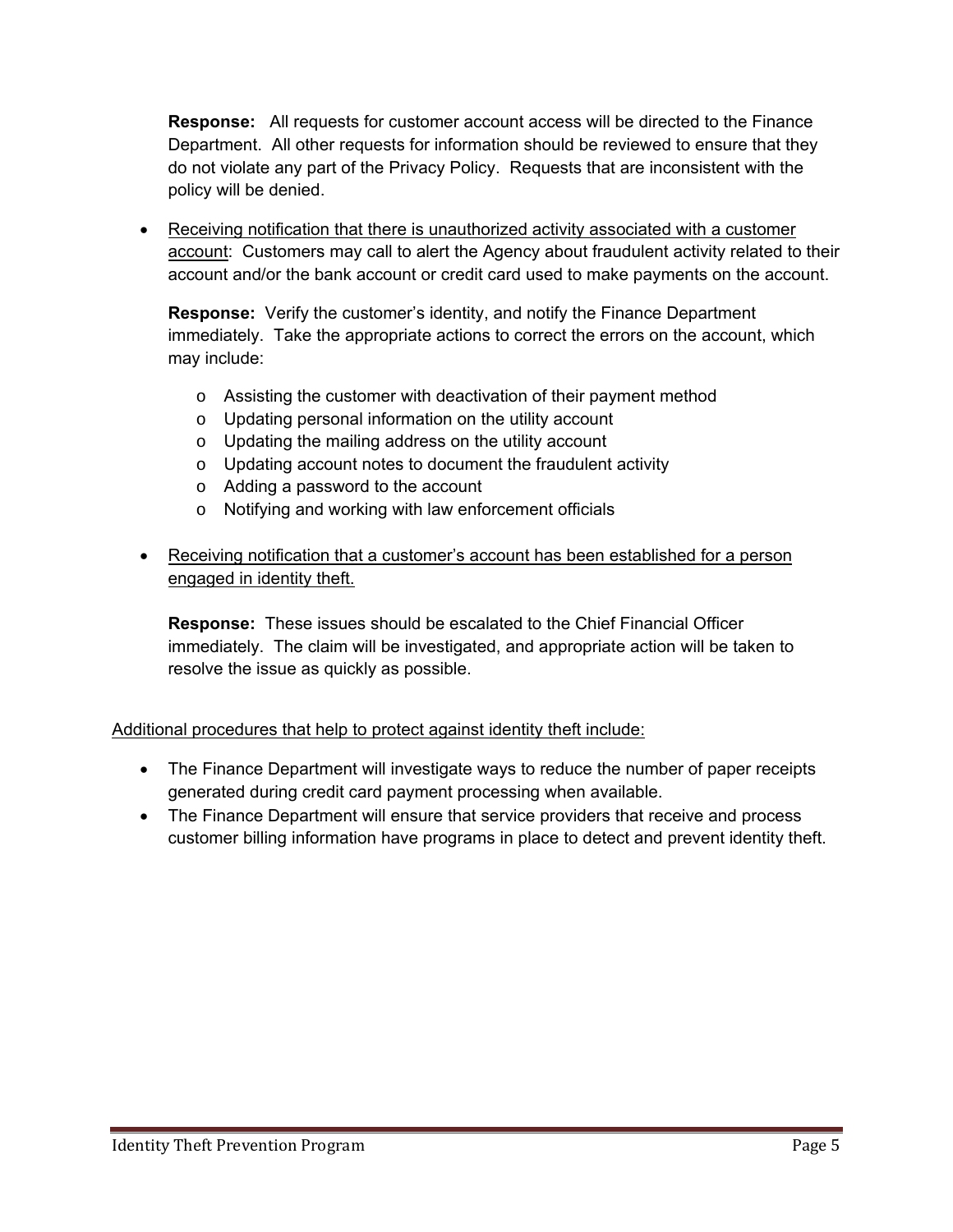**Response:** All requests for customer account access will be directed to the Finance Department. All other requests for information should be reviewed to ensure that they do not violate any part of the Privacy Policy. Requests that are inconsistent with the policy will be denied.

 Receiving notification that there is unauthorized activity associated with a customer account: Customers may call to alert the Agency about fraudulent activity related to their account and/or the bank account or credit card used to make payments on the account.

**Response:** Verify the customer's identity, and notify the Finance Department immediately. Take the appropriate actions to correct the errors on the account, which may include:

- o Assisting the customer with deactivation of their payment method
- o Updating personal information on the utility account
- o Updating the mailing address on the utility account
- o Updating account notes to document the fraudulent activity
- o Adding a password to the account
- o Notifying and working with law enforcement officials
- Receiving notification that a customer's account has been established for a person engaged in identity theft.

**Response:** These issues should be escalated to the Chief Financial Officer immediately. The claim will be investigated, and appropriate action will be taken to resolve the issue as quickly as possible.

#### Additional procedures that help to protect against identity theft include:

- The Finance Department will investigate ways to reduce the number of paper receipts generated during credit card payment processing when available.
- The Finance Department will ensure that service providers that receive and process customer billing information have programs in place to detect and prevent identity theft.